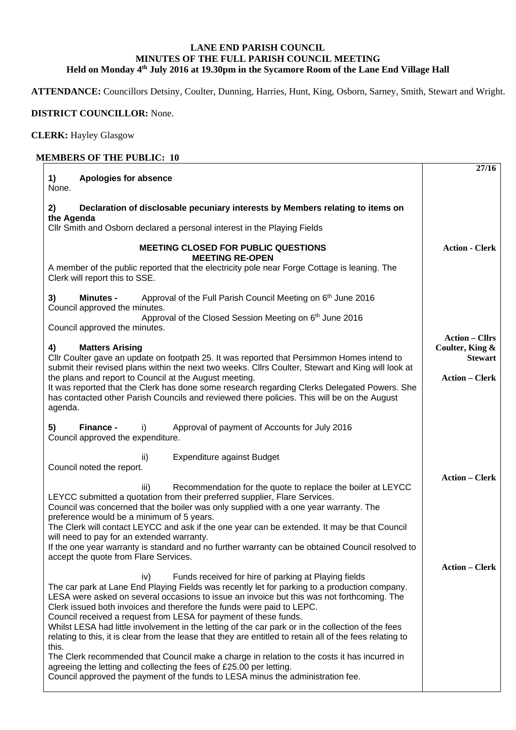## **LANE END PARISH COUNCIL MINUTES OF THE FULL PARISH COUNCIL MEETING Held on Monday 4th July 2016 at 19.30pm in the Sycamore Room of the Lane End Village Hall**

**ATTENDANCE:** Councillors Detsiny, Coulter, Dunning, Harries, Hunt, King, Osborn, Sarney, Smith, Stewart and Wright.

## **DISTRICT COUNCILLOR:** None.

**CLERK:** Hayley Glasgow

## **MEMBERS OF THE PUBLIC: 10**

| <b>Apologies for absence</b><br>1)<br>None.                                                                                                                                                                                                                                                                                                                                                                                                                                                                                                                                                                                                                                                                                                                                                                                                                                                   | 27/16                                                                               |
|-----------------------------------------------------------------------------------------------------------------------------------------------------------------------------------------------------------------------------------------------------------------------------------------------------------------------------------------------------------------------------------------------------------------------------------------------------------------------------------------------------------------------------------------------------------------------------------------------------------------------------------------------------------------------------------------------------------------------------------------------------------------------------------------------------------------------------------------------------------------------------------------------|-------------------------------------------------------------------------------------|
| Declaration of disclosable pecuniary interests by Members relating to items on<br>2)<br>the Agenda<br>CIIr Smith and Osborn declared a personal interest in the Playing Fields                                                                                                                                                                                                                                                                                                                                                                                                                                                                                                                                                                                                                                                                                                                |                                                                                     |
| <b>MEETING CLOSED FOR PUBLIC QUESTIONS</b><br><b>MEETING RE-OPEN</b><br>A member of the public reported that the electricity pole near Forge Cottage is leaning. The<br>Clerk will report this to SSE.                                                                                                                                                                                                                                                                                                                                                                                                                                                                                                                                                                                                                                                                                        | <b>Action - Clerk</b>                                                               |
| Approval of the Full Parish Council Meeting on 6 <sup>th</sup> June 2016<br>3)<br><b>Minutes -</b><br>Council approved the minutes.<br>Approval of the Closed Session Meeting on 6th June 2016<br>Council approved the minutes.                                                                                                                                                                                                                                                                                                                                                                                                                                                                                                                                                                                                                                                               |                                                                                     |
| <b>Matters Arising</b><br>4)<br>Cllr Coulter gave an update on footpath 25. It was reported that Persimmon Homes intend to<br>submit their revised plans within the next two weeks. Cllrs Coulter, Stewart and King will look at<br>the plans and report to Council at the August meeting.<br>It was reported that the Clerk has done some research regarding Clerks Delegated Powers. She<br>has contacted other Parish Councils and reviewed there policies. This will be on the August<br>agenda.                                                                                                                                                                                                                                                                                                                                                                                          | <b>Action – Cllrs</b><br>Coulter, King &<br><b>Stewart</b><br><b>Action - Clerk</b> |
| Finance -<br>5)<br>Approval of payment of Accounts for July 2016<br>i)<br>Council approved the expenditure.                                                                                                                                                                                                                                                                                                                                                                                                                                                                                                                                                                                                                                                                                                                                                                                   |                                                                                     |
| <b>Expenditure against Budget</b><br>ii)<br>Council noted the report.<br>Recommendation for the quote to replace the boiler at LEYCC<br>iii)<br>LEYCC submitted a quotation from their preferred supplier, Flare Services.<br>Council was concerned that the boiler was only supplied with a one year warranty. The<br>preference would be a minimum of 5 years.<br>The Clerk will contact LEYCC and ask if the one year can be extended. It may be that Council<br>will need to pay for an extended warranty.<br>If the one year warranty is standard and no further warranty can be obtained Council resolved to<br>accept the quote from Flare Services.                                                                                                                                                                                                                                   | <b>Action - Clerk</b><br><b>Action – Clerk</b>                                      |
| Funds received for hire of parking at Playing fields<br>iv)<br>The car park at Lane End Playing Fields was recently let for parking to a production company.<br>LESA were asked on several occasions to issue an invoice but this was not forthcoming. The<br>Clerk issued both invoices and therefore the funds were paid to LEPC.<br>Council received a request from LESA for payment of these funds.<br>Whilst LESA had little involvement in the letting of the car park or in the collection of the fees<br>relating to this, it is clear from the lease that they are entitled to retain all of the fees relating to<br>this.<br>The Clerk recommended that Council make a charge in relation to the costs it has incurred in<br>agreeing the letting and collecting the fees of £25.00 per letting.<br>Council approved the payment of the funds to LESA minus the administration fee. |                                                                                     |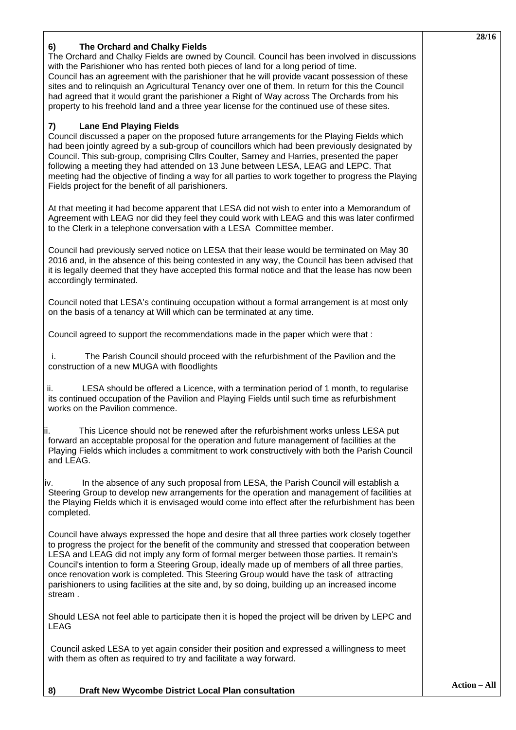|                                                                                                                                                                                                                                                                                                                                                                                                                                                                                                                                                                                                                              | 28/16 |
|------------------------------------------------------------------------------------------------------------------------------------------------------------------------------------------------------------------------------------------------------------------------------------------------------------------------------------------------------------------------------------------------------------------------------------------------------------------------------------------------------------------------------------------------------------------------------------------------------------------------------|-------|
| The Orchard and Chalky Fields<br>6)<br>The Orchard and Chalky Fields are owned by Council. Council has been involved in discussions<br>with the Parishioner who has rented both pieces of land for a long period of time.<br>Council has an agreement with the parishioner that he will provide vacant possession of these<br>sites and to relinguish an Agricultural Tenancy over one of them. In return for this the Council<br>had agreed that it would grant the parishioner a Right of Way across The Orchards from his<br>property to his freehold land and a three year license for the continued use of these sites. |       |
| <b>Lane End Playing Fields</b><br>7)<br>Council discussed a paper on the proposed future arrangements for the Playing Fields which<br>had been jointly agreed by a sub-group of councillors which had been previously designated by<br>Council. This sub-group, comprising Cllrs Coulter, Sarney and Harries, presented the paper<br>following a meeting they had attended on 13 June between LESA, LEAG and LEPC. That<br>meeting had the objective of finding a way for all parties to work together to progress the Playing<br>Fields project for the benefit of all parishioners.                                        |       |
| At that meeting it had become apparent that LESA did not wish to enter into a Memorandum of<br>Agreement with LEAG nor did they feel they could work with LEAG and this was later confirmed<br>to the Clerk in a telephone conversation with a LESA Committee member.                                                                                                                                                                                                                                                                                                                                                        |       |
| Council had previously served notice on LESA that their lease would be terminated on May 30<br>2016 and, in the absence of this being contested in any way, the Council has been advised that<br>it is legally deemed that they have accepted this formal notice and that the lease has now been<br>accordingly terminated.                                                                                                                                                                                                                                                                                                  |       |
| Council noted that LESA's continuing occupation without a formal arrangement is at most only<br>on the basis of a tenancy at Will which can be terminated at any time.                                                                                                                                                                                                                                                                                                                                                                                                                                                       |       |
| Council agreed to support the recommendations made in the paper which were that :                                                                                                                                                                                                                                                                                                                                                                                                                                                                                                                                            |       |
| The Parish Council should proceed with the refurbishment of the Pavilion and the<br>i.<br>construction of a new MUGA with floodlights                                                                                                                                                                                                                                                                                                                                                                                                                                                                                        |       |
| ii.<br>LESA should be offered a Licence, with a termination period of 1 month, to regularise<br>its continued occupation of the Pavilion and Playing Fields until such time as refurbishment<br>works on the Pavilion commence.                                                                                                                                                                                                                                                                                                                                                                                              |       |
| This Licence should not be renewed after the refurbishment works unless LESA put<br>II.<br>forward an acceptable proposal for the operation and future management of facilities at the<br>Playing Fields which includes a commitment to work constructively with both the Parish Council<br>and LEAG.                                                                                                                                                                                                                                                                                                                        |       |
| In the absence of any such proposal from LESA, the Parish Council will establish a<br>IV.<br>Steering Group to develop new arrangements for the operation and management of facilities at<br>the Playing Fields which it is envisaged would come into effect after the refurbishment has been<br>completed.                                                                                                                                                                                                                                                                                                                  |       |
| Council have always expressed the hope and desire that all three parties work closely together<br>to progress the project for the benefit of the community and stressed that cooperation between<br>LESA and LEAG did not imply any form of formal merger between those parties. It remain's<br>Council's intention to form a Steering Group, ideally made up of members of all three parties,<br>once renovation work is completed. This Steering Group would have the task of attracting<br>parishioners to using facilities at the site and, by so doing, building up an increased income<br>stream.                      |       |
| Should LESA not feel able to participate then it is hoped the project will be driven by LEPC and<br><b>LEAG</b>                                                                                                                                                                                                                                                                                                                                                                                                                                                                                                              |       |
| Council asked LESA to yet again consider their position and expressed a willingness to meet<br>with them as often as required to try and facilitate a way forward.                                                                                                                                                                                                                                                                                                                                                                                                                                                           |       |
|                                                                                                                                                                                                                                                                                                                                                                                                                                                                                                                                                                                                                              |       |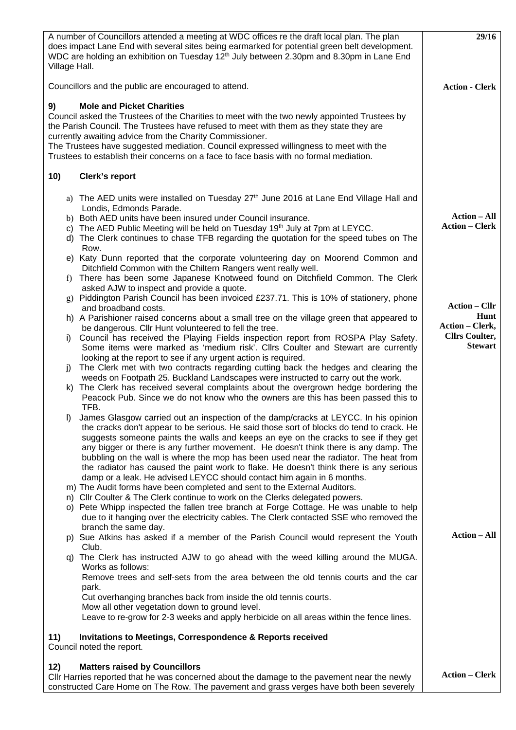| A number of Councillors attended a meeting at WDC offices re the draft local plan. The plan<br>does impact Lane End with several sites being earmarked for potential green belt development.<br>WDC are holding an exhibition on Tuesday 12 <sup>th</sup> July between 2.30pm and 8.30pm in Lane End<br>Village Hall.                                                                                                                                                                                                                                                                                                                                                                                                                                                                                                                                                                             | 29/16                                        |
|---------------------------------------------------------------------------------------------------------------------------------------------------------------------------------------------------------------------------------------------------------------------------------------------------------------------------------------------------------------------------------------------------------------------------------------------------------------------------------------------------------------------------------------------------------------------------------------------------------------------------------------------------------------------------------------------------------------------------------------------------------------------------------------------------------------------------------------------------------------------------------------------------|----------------------------------------------|
| Councillors and the public are encouraged to attend.                                                                                                                                                                                                                                                                                                                                                                                                                                                                                                                                                                                                                                                                                                                                                                                                                                              | <b>Action - Clerk</b>                        |
| <b>Mole and Picket Charities</b><br>9)<br>Council asked the Trustees of the Charities to meet with the two newly appointed Trustees by<br>the Parish Council. The Trustees have refused to meet with them as they state they are<br>currently awaiting advice from the Charity Commissioner.<br>The Trustees have suggested mediation. Council expressed willingness to meet with the<br>Trustees to establish their concerns on a face to face basis with no formal mediation.                                                                                                                                                                                                                                                                                                                                                                                                                   |                                              |
| 10)<br>Clerk's report                                                                                                                                                                                                                                                                                                                                                                                                                                                                                                                                                                                                                                                                                                                                                                                                                                                                             |                                              |
| a) The AED units were installed on Tuesday 27 <sup>th</sup> June 2016 at Lane End Village Hall and<br>Londis, Edmonds Parade.<br>b) Both AED units have been insured under Council insurance.<br>c) The AED Public Meeting will be held on Tuesday 19th July at 7pm at LEYCC.<br>d) The Clerk continues to chase TFB regarding the quotation for the speed tubes on The<br>Row.<br>e) Katy Dunn reported that the corporate volunteering day on Moorend Common and                                                                                                                                                                                                                                                                                                                                                                                                                                | <b>Action – All</b><br><b>Action – Clerk</b> |
| Ditchfield Common with the Chiltern Rangers went really well.<br>There has been some Japanese Knotweed found on Ditchfield Common. The Clerk<br>f)<br>asked AJW to inspect and provide a quote.                                                                                                                                                                                                                                                                                                                                                                                                                                                                                                                                                                                                                                                                                                   |                                              |
| g) Piddington Parish Council has been invoiced £237.71. This is 10% of stationery, phone<br>and broadband costs.                                                                                                                                                                                                                                                                                                                                                                                                                                                                                                                                                                                                                                                                                                                                                                                  | <b>Action – Cllr</b>                         |
| h) A Parishioner raised concerns about a small tree on the village green that appeared to<br>be dangerous. Cllr Hunt volunteered to fell the tree.                                                                                                                                                                                                                                                                                                                                                                                                                                                                                                                                                                                                                                                                                                                                                | Hunt<br><b>Action – Clerk,</b>               |
| Council has received the Playing Fields inspection report from ROSPA Play Safety.<br>I)<br>Some items were marked as 'medium risk'. Cllrs Coulter and Stewart are currently<br>looking at the report to see if any urgent action is required.<br>The Clerk met with two contracts regarding cutting back the hedges and clearing the<br>j)<br>weeds on Footpath 25. Buckland Landscapes were instructed to carry out the work.<br>k) The Clerk has received several complaints about the overgrown hedge bordering the<br>Peacock Pub. Since we do not know who the owners are this has been passed this to<br>TFB.                                                                                                                                                                                                                                                                               | <b>Cllrs Coulter,</b><br><b>Stewart</b>      |
| James Glasgow carried out an inspection of the damp/cracks at LEYCC. In his opinion<br>$\mathbf{D}$<br>the cracks don't appear to be serious. He said those sort of blocks do tend to crack. He<br>suggests someone paints the walls and keeps an eye on the cracks to see if they get<br>any bigger or there is any further movement. He doesn't think there is any damp. The<br>bubbling on the wall is where the mop has been used near the radiator. The heat from<br>the radiator has caused the paint work to flake. He doesn't think there is any serious<br>damp or a leak. He advised LEYCC should contact him again in 6 months.<br>m) The Audit forms have been completed and sent to the External Auditors.<br>n) Cllr Coulter & The Clerk continue to work on the Clerks delegated powers.<br>o) Pete Whipp inspected the fallen tree branch at Forge Cottage. He was unable to help |                                              |
| due to it hanging over the electricity cables. The Clerk contacted SSE who removed the<br>branch the same day.                                                                                                                                                                                                                                                                                                                                                                                                                                                                                                                                                                                                                                                                                                                                                                                    | <b>Action – All</b>                          |
| p) Sue Atkins has asked if a member of the Parish Council would represent the Youth<br>Club.                                                                                                                                                                                                                                                                                                                                                                                                                                                                                                                                                                                                                                                                                                                                                                                                      |                                              |
| q) The Clerk has instructed AJW to go ahead with the weed killing around the MUGA.<br>Works as follows:<br>Remove trees and self-sets from the area between the old tennis courts and the car<br>park.<br>Cut overhanging branches back from inside the old tennis courts.<br>Mow all other vegetation down to ground level.<br>Leave to re-grow for 2-3 weeks and apply herbicide on all areas within the fence lines.<br><b>Invitations to Meetings, Correspondence &amp; Reports received</b><br>11)<br>Council noted the report.                                                                                                                                                                                                                                                                                                                                                              |                                              |
| <b>Matters raised by Councillors</b><br>12)<br>Cllr Harries reported that he was concerned about the damage to the pavement near the newly<br>constructed Care Home on The Row. The pavement and grass verges have both been severely                                                                                                                                                                                                                                                                                                                                                                                                                                                                                                                                                                                                                                                             | <b>Action - Clerk</b>                        |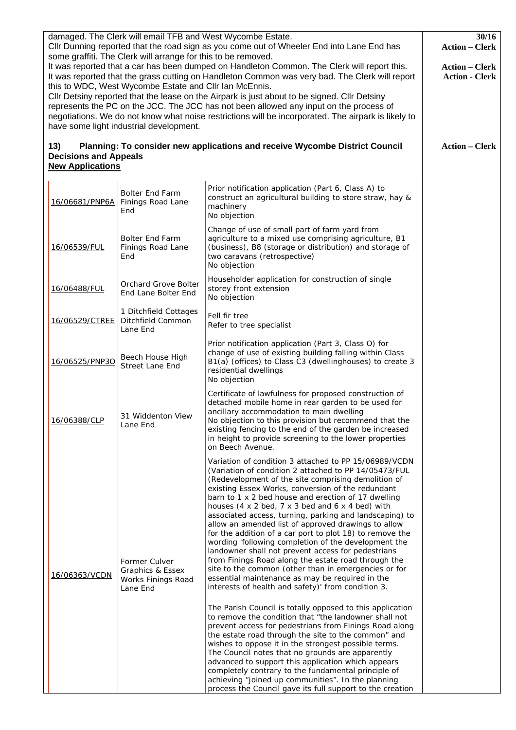| damaged. The Clerk will email TFB and West Wycombe Estate.<br>Cllr Dunning reported that the road sign as you come out of Wheeler End into Lane End has<br>some graffiti. The Clerk will arrange for this to be removed. |                                                                | 30/16<br><b>Action - Clerk</b>                                                                    |                                                                                                                                                                                                                                                                                                                                                                                                                                                                                                                                                                                                                                                                                                                                                                                                                                                                                                                                                                                                                                                                                                                                                                                                                                                                                                                                                                                                                                                                                         |                                                |
|--------------------------------------------------------------------------------------------------------------------------------------------------------------------------------------------------------------------------|----------------------------------------------------------------|---------------------------------------------------------------------------------------------------|-----------------------------------------------------------------------------------------------------------------------------------------------------------------------------------------------------------------------------------------------------------------------------------------------------------------------------------------------------------------------------------------------------------------------------------------------------------------------------------------------------------------------------------------------------------------------------------------------------------------------------------------------------------------------------------------------------------------------------------------------------------------------------------------------------------------------------------------------------------------------------------------------------------------------------------------------------------------------------------------------------------------------------------------------------------------------------------------------------------------------------------------------------------------------------------------------------------------------------------------------------------------------------------------------------------------------------------------------------------------------------------------------------------------------------------------------------------------------------------------|------------------------------------------------|
|                                                                                                                                                                                                                          |                                                                | this to WDC, West Wycombe Estate and Cllr Ian McEnnis.<br>have some light industrial development. | It was reported that a car has been dumped on Handleton Common. The Clerk will report this.<br>It was reported that the grass cutting on Handleton Common was very bad. The Clerk will report<br>CIIr Detsiny reported that the lease on the Airpark is just about to be signed. CIIr Detsiny<br>represents the PC on the JCC. The JCC has not been allowed any input on the process of<br>negotiations. We do not know what noise restrictions will be incorporated. The airpark is likely to                                                                                                                                                                                                                                                                                                                                                                                                                                                                                                                                                                                                                                                                                                                                                                                                                                                                                                                                                                                          | <b>Action – Clerk</b><br><b>Action - Clerk</b> |
|                                                                                                                                                                                                                          | 13)<br><b>Decisions and Appeals</b><br><b>New Applications</b> |                                                                                                   | Planning: To consider new applications and receive Wycombe District Council                                                                                                                                                                                                                                                                                                                                                                                                                                                                                                                                                                                                                                                                                                                                                                                                                                                                                                                                                                                                                                                                                                                                                                                                                                                                                                                                                                                                             | <b>Action – Clerk</b>                          |
|                                                                                                                                                                                                                          | 16/06681/PNP6A                                                 | <b>Bolter End Farm</b><br>Finings Road Lane<br>End                                                | Prior notification application (Part 6, Class A) to<br>construct an agricultural building to store straw, hay &<br>machinery<br>No objection                                                                                                                                                                                                                                                                                                                                                                                                                                                                                                                                                                                                                                                                                                                                                                                                                                                                                                                                                                                                                                                                                                                                                                                                                                                                                                                                            |                                                |
|                                                                                                                                                                                                                          | 16/06539/FUL                                                   | <b>Bolter End Farm</b><br>Finings Road Lane<br>End                                                | Change of use of small part of farm yard from<br>agriculture to a mixed use comprising agriculture, B1<br>(business), B8 (storage or distribution) and storage of<br>two caravans (retrospective)<br>No objection                                                                                                                                                                                                                                                                                                                                                                                                                                                                                                                                                                                                                                                                                                                                                                                                                                                                                                                                                                                                                                                                                                                                                                                                                                                                       |                                                |
|                                                                                                                                                                                                                          | 16/06488/FUL                                                   | Orchard Grove Bolter<br>End Lane Bolter End                                                       | Householder application for construction of single<br>storey front extension<br>No objection                                                                                                                                                                                                                                                                                                                                                                                                                                                                                                                                                                                                                                                                                                                                                                                                                                                                                                                                                                                                                                                                                                                                                                                                                                                                                                                                                                                            |                                                |
|                                                                                                                                                                                                                          | 16/06529/CTREE                                                 | 1 Ditchfield Cottages<br>Ditchfield Common<br>Lane End                                            | Fell fir tree<br>Refer to tree specialist                                                                                                                                                                                                                                                                                                                                                                                                                                                                                                                                                                                                                                                                                                                                                                                                                                                                                                                                                                                                                                                                                                                                                                                                                                                                                                                                                                                                                                               |                                                |
|                                                                                                                                                                                                                          | 16/06525/PNP3O                                                 | Beech House High<br><b>Street Lane End</b>                                                        | Prior notification application (Part 3, Class O) for<br>change of use of existing building falling within Class<br>B1(a) (offices) to Class C3 (dwellinghouses) to create 3<br>residential dwellings<br>No objection                                                                                                                                                                                                                                                                                                                                                                                                                                                                                                                                                                                                                                                                                                                                                                                                                                                                                                                                                                                                                                                                                                                                                                                                                                                                    |                                                |
|                                                                                                                                                                                                                          | 16/06388/CLP                                                   | 31 Widdenton View<br>Lane End                                                                     | Certificate of lawfulness for proposed construction of<br>detached mobile home in rear garden to be used for<br>ancillary accommodation to main dwelling<br>No objection to this provision but recommend that the<br>existing fencing to the end of the garden be increased<br>in height to provide screening to the lower properties<br>on Beech Avenue.                                                                                                                                                                                                                                                                                                                                                                                                                                                                                                                                                                                                                                                                                                                                                                                                                                                                                                                                                                                                                                                                                                                               |                                                |
|                                                                                                                                                                                                                          | 16/06363/VCDN                                                  | Former Culver<br>Graphics & Essex<br>Works Finings Road<br>Lane End                               | Variation of condition 3 attached to PP 15/06989/VCDN<br>(Variation of condition 2 attached to PP 14/05473/FUL<br>(Redevelopment of the site comprising demolition of<br>existing Essex Works, conversion of the redundant<br>barn to 1 x 2 bed house and erection of 17 dwelling<br>houses $(4 \times 2 \text{ bed}, 7 \times 3 \text{ bed}$ and $6 \times 4 \text{ bed})$ with<br>associated access, turning, parking and landscaping) to<br>allow an amended list of approved drawings to allow<br>for the addition of a car port to plot 18) to remove the<br>wording 'following completion of the development the<br>landowner shall not prevent access for pedestrians<br>from Finings Road along the estate road through the<br>site to the common (other than in emergencies or for<br>essential maintenance as may be required in the<br>interests of health and safety)' from condition 3.<br>The Parish Council is totally opposed to this application<br>to remove the condition that "the landowner shall not<br>prevent access for pedestrians from Finings Road along<br>the estate road through the site to the common" and<br>wishes to oppose it in the strongest possible terms.<br>The Council notes that no grounds are apparently<br>advanced to support this application which appears<br>completely contrary to the fundamental principle of<br>achieving "joined up communities". In the planning<br>process the Council gave its full support to the creation |                                                |